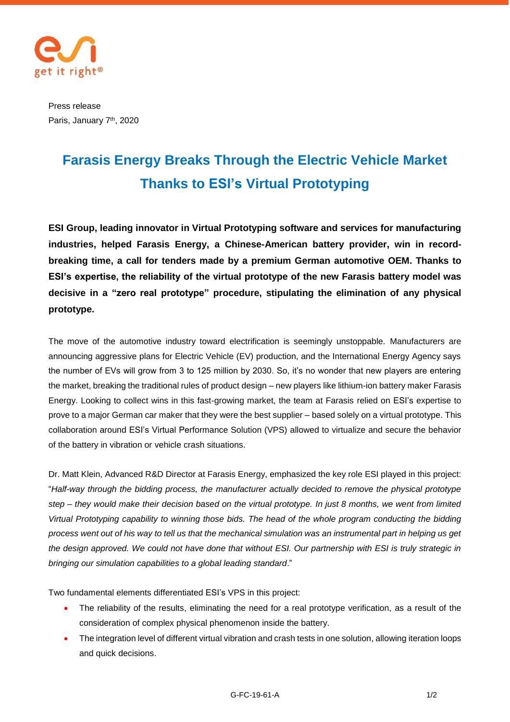

Press release Paris, January 7<sup>th</sup>, 2020

## **Farasis Energy Breaks Through the Electric Vehicle Market Thanks to ESI's Virtual Prototyping**

**ESI Group, leading innovator in Virtual Prototyping software and services for manufacturing industries, helped Farasis Energy, a Chinese-American battery provider, win in recordbreaking time, a call for tenders made by a premium German automotive OEM. Thanks to ESI's expertise, the reliability of the virtual prototype of the new Farasis battery model was decisive in a "zero real prototype" procedure, stipulating the elimination of any physical prototype.**

The move of the automotive industry toward electrification is seemingly unstoppable. Manufacturers are announcing aggressive plans for Electric Vehicle (EV) production, and the International Energy Agency says the number of EVs will grow from 3 to 125 million by 2030. So, it's no wonder that new players are entering the market, breaking the traditional rules of product design – new players like lithium-ion battery maker Farasis Energy. Looking to collect wins in this fast-growing market, the team at Farasis relied on ESI's expertise to prove to a major German car maker that they were the best supplier – based solely on a virtual prototype. This collaboration around ESI's Virtual Performance Solution (VPS) allowed to virtualize and secure the behavior of the battery in vibration or vehicle crash situations.

Dr. Matt Klein, Advanced R&D Director at Farasis Energy, emphasized the key role ESI played in this project: "*Half-way through the bidding process, the manufacturer actually decided to remove the physical prototype step – they would make their decision based on the virtual prototype. In just 8 months, we went from limited Virtual Prototyping capability to winning those bids. The head of the whole program conducting the bidding process went out of his way to tell us that the mechanical simulation was an instrumental part in helping us get the design approved. We could not have done that without ESI. Our partnership with ESI is truly strategic in bringing our simulation capabilities to a global leading standard*."

Two fundamental elements differentiated ESI's VPS in this project:

- The reliability of the results, eliminating the need for a real prototype verification, as a result of the consideration of complex physical phenomenon inside the battery.
- The integration level of different virtual vibration and crash tests in one solution, allowing iteration loops and quick decisions.